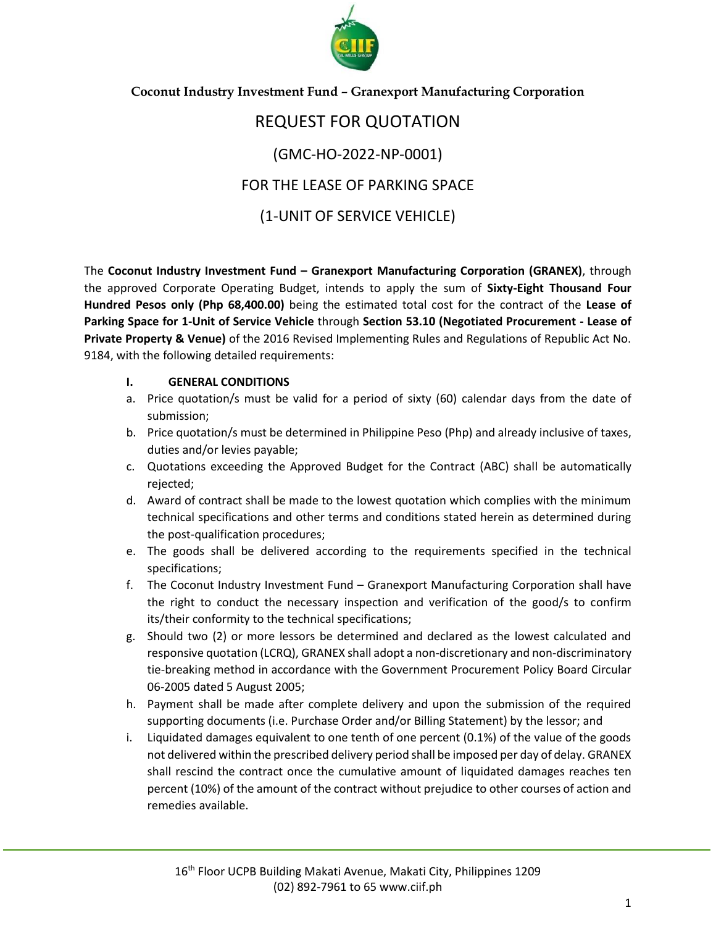

#### **Coconut Industry Investment Fund – Granexport Manufacturing Corporation**

## REQUEST FOR QUOTATION (GMC-HO-2022-NP-0001) FOR THE LEASE OF PARKING SPACE (1-UNIT OF SERVICE VEHICLE)

The **Coconut Industry Investment Fund – Granexport Manufacturing Corporation (GRANEX)**, through the approved Corporate Operating Budget, intends to apply the sum of **Sixty-Eight Thousand Four Hundred Pesos only (Php 68,400.00)** being the estimated total cost for the contract of the **Lease of Parking Space for 1-Unit of Service Vehicle** through **Section 53.10 (Negotiated Procurement - Lease of Private Property & Venue)** of the 2016 Revised Implementing Rules and Regulations of Republic Act No. 9184, with the following detailed requirements:

#### **I. GENERAL CONDITIONS**

- a. Price quotation/s must be valid for a period of sixty (60) calendar days from the date of submission;
- b. Price quotation/s must be determined in Philippine Peso (Php) and already inclusive of taxes, duties and/or levies payable;
- c. Quotations exceeding the Approved Budget for the Contract (ABC) shall be automatically rejected;
- d. Award of contract shall be made to the lowest quotation which complies with the minimum technical specifications and other terms and conditions stated herein as determined during the post-qualification procedures;
- e. The goods shall be delivered according to the requirements specified in the technical specifications;
- f. The Coconut Industry Investment Fund Granexport Manufacturing Corporation shall have the right to conduct the necessary inspection and verification of the good/s to confirm its/their conformity to the technical specifications;
- g. Should two (2) or more lessors be determined and declared as the lowest calculated and responsive quotation (LCRQ), GRANEX shall adopt a non-discretionary and non-discriminatory tie-breaking method in accordance with the Government Procurement Policy Board Circular 06-2005 dated 5 August 2005;
- h. Payment shall be made after complete delivery and upon the submission of the required supporting documents (i.e. Purchase Order and/or Billing Statement) by the lessor; and
- i. Liquidated damages equivalent to one tenth of one percent (0.1%) of the value of the goods not delivered within the prescribed delivery period shall be imposed per day of delay. GRANEX shall rescind the contract once the cumulative amount of liquidated damages reaches ten percent (10%) of the amount of the contract without prejudice to other courses of action and remedies available.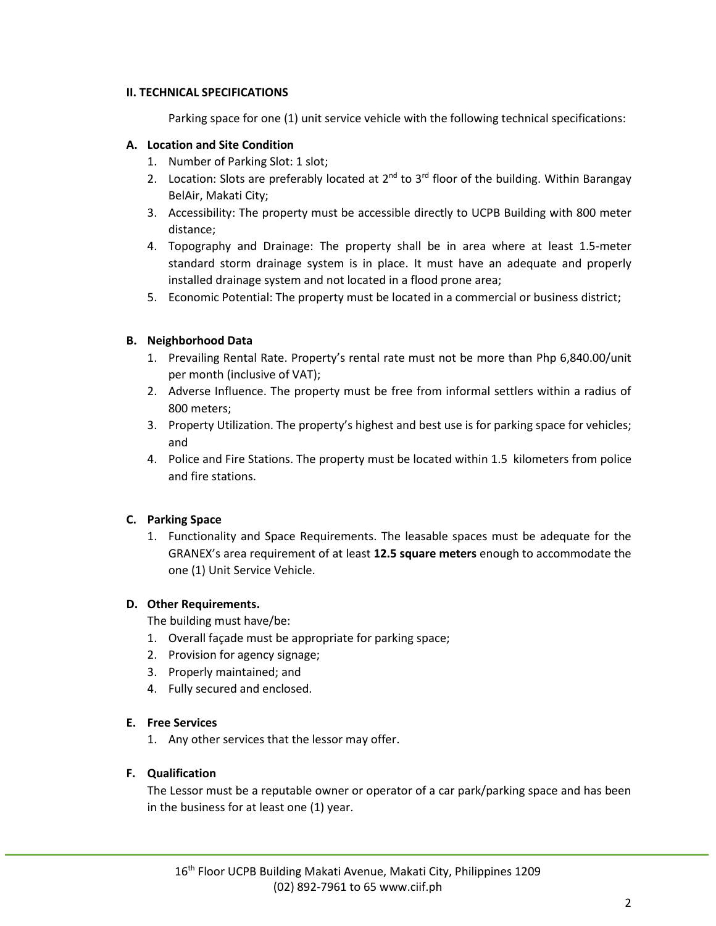#### **II. TECHNICAL SPECIFICATIONS**

Parking space for one (1) unit service vehicle with the following technical specifications:

#### **A. Location and Site Condition**

- 1. Number of Parking Slot: 1 slot;
- 2. Location: Slots are preferably located at  $2^{nd}$  to  $3^{rd}$  floor of the building. Within Barangay BelAir, Makati City;
- 3. Accessibility: The property must be accessible directly to UCPB Building with 800 meter distance;
- 4. Topography and Drainage: The property shall be in area where at least 1.5-meter standard storm drainage system is in place. It must have an adequate and properly installed drainage system and not located in a flood prone area;
- 5. Economic Potential: The property must be located in a commercial or business district;

#### **B. Neighborhood Data**

- 1. Prevailing Rental Rate. Property's rental rate must not be more than Php 6,840.00/unit per month (inclusive of VAT);
- 2. Adverse Influence. The property must be free from informal settlers within a radius of 800 meters;
- 3. Property Utilization. The property's highest and best use is for parking space for vehicles; and
- 4. Police and Fire Stations. The property must be located within 1.5 kilometers from police and fire stations.

#### **C. Parking Space**

1. Functionality and Space Requirements. The leasable spaces must be adequate for the GRANEX's area requirement of at least **12.5 square meters** enough to accommodate the one (1) Unit Service Vehicle.

#### **D. Other Requirements.**

The building must have/be:

- 1. Overall façade must be appropriate for parking space;
- 2. Provision for agency signage;
- 3. Properly maintained; and
- 4. Fully secured and enclosed.

#### **E. Free Services**

1. Any other services that the lessor may offer.

#### **F. Qualification**

The Lessor must be a reputable owner or operator of a car park/parking space and has been in the business for at least one (1) year.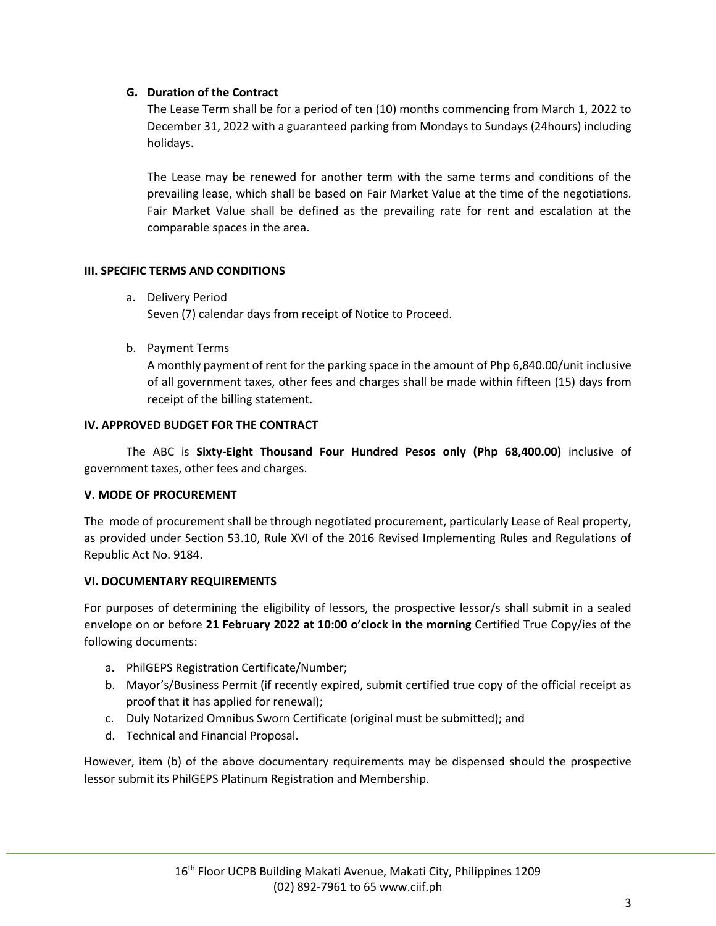#### **G. Duration of the Contract**

The Lease Term shall be for a period of ten (10) months commencing from March 1, 2022 to December 31, 2022 with a guaranteed parking from Mondays to Sundays (24hours) including holidays.

The Lease may be renewed for another term with the same terms and conditions of the prevailing lease, which shall be based on Fair Market Value at the time of the negotiations. Fair Market Value shall be defined as the prevailing rate for rent and escalation at the comparable spaces in the area.

#### **III. SPECIFIC TERMS AND CONDITIONS**

- a. Delivery Period Seven (7) calendar days from receipt of Notice to Proceed.
- b. Payment Terms

A monthly payment of rent for the parking space in the amount of Php 6,840.00/unit inclusive of all government taxes, other fees and charges shall be made within fifteen (15) days from receipt of the billing statement.

#### **IV. APPROVED BUDGET FOR THE CONTRACT**

The ABC is **Sixty-Eight Thousand Four Hundred Pesos only (Php 68,400.00)** inclusive of government taxes, other fees and charges.

#### **V. MODE OF PROCUREMENT**

The mode of procurement shall be through negotiated procurement, particularly Lease of Real property, as provided under Section 53.10, Rule XVI of the 2016 Revised Implementing Rules and Regulations of Republic Act No. 9184.

#### **VI. DOCUMENTARY REQUIREMENTS**

For purposes of determining the eligibility of lessors, the prospective lessor/s shall submit in a sealed envelope on or before **21 February 2022 at 10:00 o'clock in the morning** Certified True Copy/ies of the following documents:

- a. PhilGEPS Registration Certificate/Number;
- b. Mayor's/Business Permit (if recently expired, submit certified true copy of the official receipt as proof that it has applied for renewal);
- c. Duly Notarized Omnibus Sworn Certificate (original must be submitted); and
- d. Technical and Financial Proposal.

However, item (b) of the above documentary requirements may be dispensed should the prospective lessor submit its PhilGEPS Platinum Registration and Membership.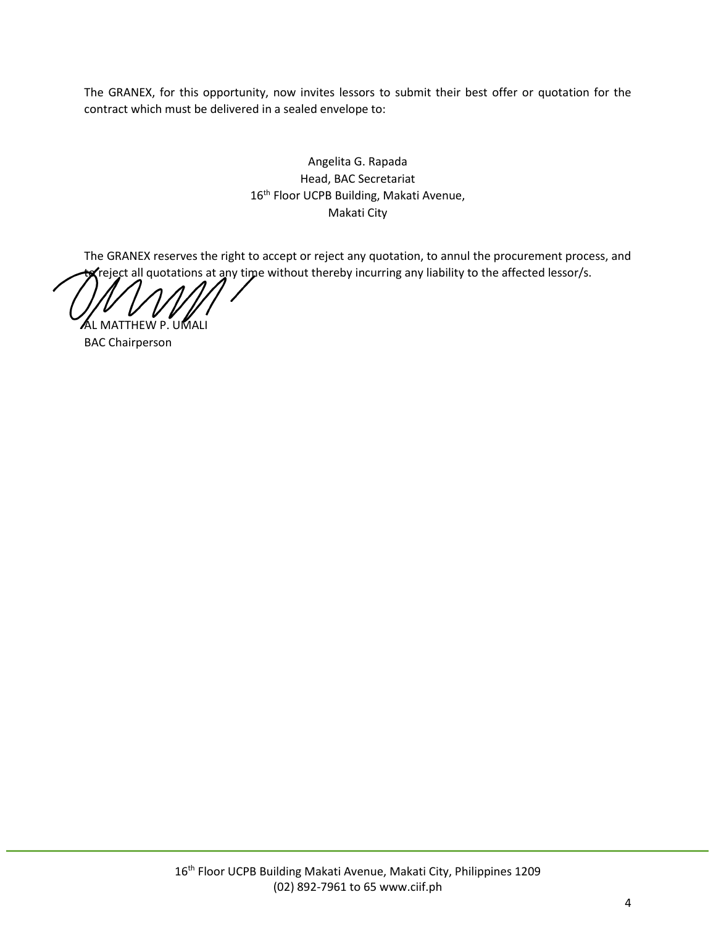The GRANEX, for this opportunity, now invites lessors to submit their best offer or quotation for the contract which must be delivered in a sealed envelope to:

> Angelita G. Rapada Head, BAC Secretariat 16<sup>th</sup> Floor UCPB Building, Makati Avenue, Makati City

The GRANEX reserves the right to accept or reject any quotation, to annul the procurement process, and  $\bm{x}$ reject all quotations at any time without thereby incurring any liability to the affected lessor/s.

AL MATTHEW P. UMALI

BAC Chairperson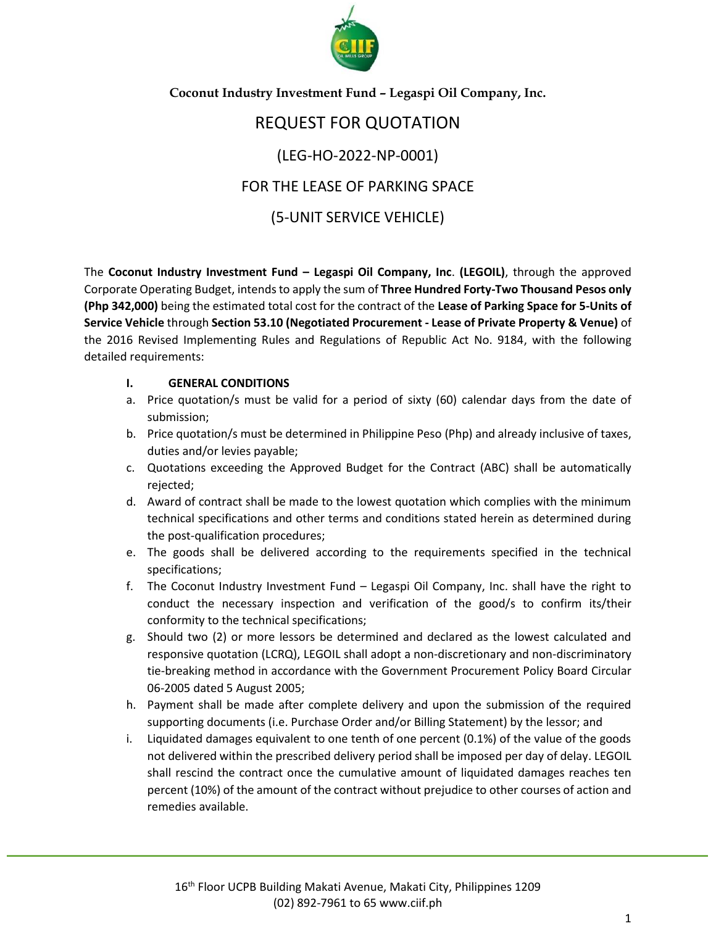

**Coconut Industry Investment Fund – Legaspi Oil Company, Inc.**

# REQUEST FOR QUOTATION (LEG-HO-2022-NP-0001) FOR THE LEASE OF PARKING SPACE

### (5-UNIT SERVICE VEHICLE)

The **Coconut Industry Investment Fund – Legaspi Oil Company, Inc**. **(LEGOIL)**, through the approved Corporate Operating Budget, intends to apply the sum of **Three Hundred Forty-Two Thousand Pesos only (Php 342,000)** being the estimated total cost for the contract of the **Lease of Parking Space for 5-Units of Service Vehicle** through **Section 53.10 (Negotiated Procurement - Lease of Private Property & Venue)** of the 2016 Revised Implementing Rules and Regulations of Republic Act No. 9184, with the following detailed requirements:

#### **I. GENERAL CONDITIONS**

- a. Price quotation/s must be valid for a period of sixty (60) calendar days from the date of submission;
- b. Price quotation/s must be determined in Philippine Peso (Php) and already inclusive of taxes, duties and/or levies payable;
- c. Quotations exceeding the Approved Budget for the Contract (ABC) shall be automatically rejected;
- d. Award of contract shall be made to the lowest quotation which complies with the minimum technical specifications and other terms and conditions stated herein as determined during the post-qualification procedures;
- e. The goods shall be delivered according to the requirements specified in the technical specifications;
- f. The Coconut Industry Investment Fund Legaspi Oil Company, Inc. shall have the right to conduct the necessary inspection and verification of the good/s to confirm its/their conformity to the technical specifications;
- g. Should two (2) or more lessors be determined and declared as the lowest calculated and responsive quotation (LCRQ), LEGOIL shall adopt a non-discretionary and non-discriminatory tie-breaking method in accordance with the Government Procurement Policy Board Circular 06-2005 dated 5 August 2005;
- h. Payment shall be made after complete delivery and upon the submission of the required supporting documents (i.e. Purchase Order and/or Billing Statement) by the lessor; and
- i. Liquidated damages equivalent to one tenth of one percent (0.1%) of the value of the goods not delivered within the prescribed delivery period shall be imposed per day of delay. LEGOIL shall rescind the contract once the cumulative amount of liquidated damages reaches ten percent (10%) of the amount of the contract without prejudice to other courses of action and remedies available.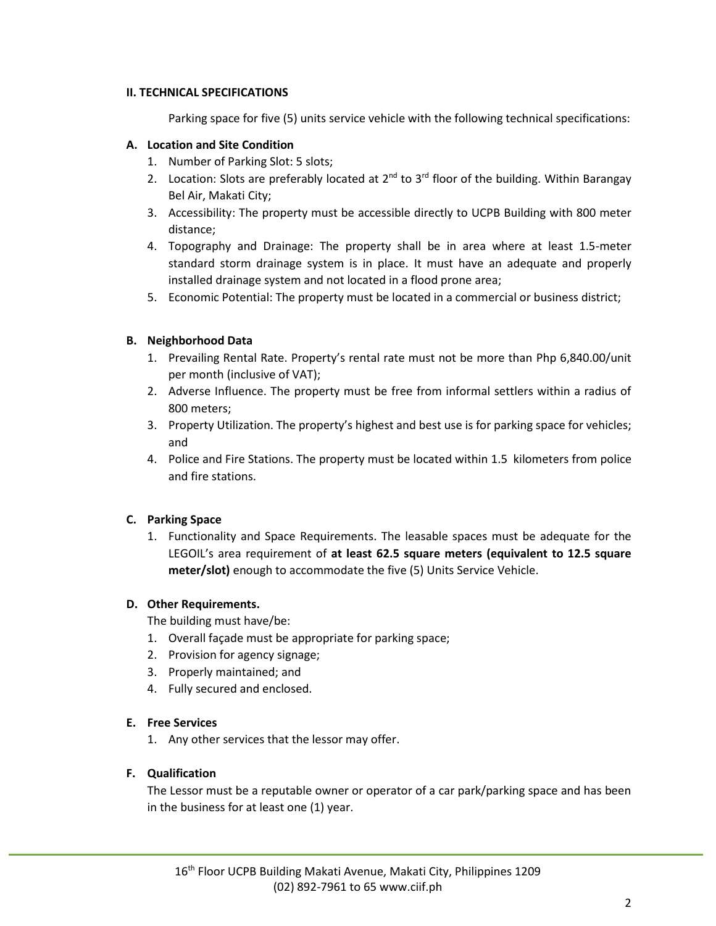#### **II. TECHNICAL SPECIFICATIONS**

Parking space for five (5) units service vehicle with the following technical specifications:

#### **A. Location and Site Condition**

- 1. Number of Parking Slot: 5 slots;
- 2. Location: Slots are preferably located at  $2^{nd}$  to  $3^{rd}$  floor of the building. Within Barangay Bel Air, Makati City;
- 3. Accessibility: The property must be accessible directly to UCPB Building with 800 meter distance;
- 4. Topography and Drainage: The property shall be in area where at least 1.5-meter standard storm drainage system is in place. It must have an adequate and properly installed drainage system and not located in a flood prone area;
- 5. Economic Potential: The property must be located in a commercial or business district;

#### **B. Neighborhood Data**

- 1. Prevailing Rental Rate. Property's rental rate must not be more than Php 6,840.00/unit per month (inclusive of VAT);
- 2. Adverse Influence. The property must be free from informal settlers within a radius of 800 meters;
- 3. Property Utilization. The property's highest and best use is for parking space for vehicles; and
- 4. Police and Fire Stations. The property must be located within 1.5 kilometers from police and fire stations.

#### **C. Parking Space**

1. Functionality and Space Requirements. The leasable spaces must be adequate for the LEGOIL's area requirement of **at least 62.5 square meters (equivalent to 12.5 square meter/slot)** enough to accommodate the five (5) Units Service Vehicle.

#### **D. Other Requirements.**

The building must have/be:

- 1. Overall façade must be appropriate for parking space;
- 2. Provision for agency signage;
- 3. Properly maintained; and
- 4. Fully secured and enclosed.

#### **E. Free Services**

1. Any other services that the lessor may offer.

#### **F. Qualification**

The Lessor must be a reputable owner or operator of a car park/parking space and has been in the business for at least one (1) year.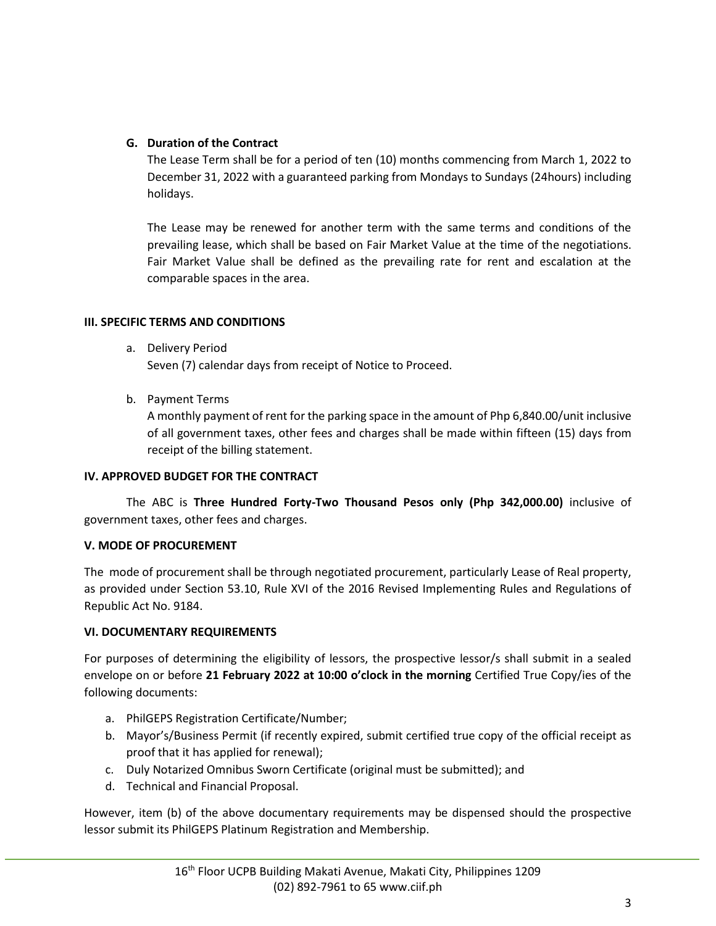#### **G. Duration of the Contract**

The Lease Term shall be for a period of ten (10) months commencing from March 1, 2022 to December 31, 2022 with a guaranteed parking from Mondays to Sundays (24hours) including holidays.

The Lease may be renewed for another term with the same terms and conditions of the prevailing lease, which shall be based on Fair Market Value at the time of the negotiations. Fair Market Value shall be defined as the prevailing rate for rent and escalation at the comparable spaces in the area.

#### **III. SPECIFIC TERMS AND CONDITIONS**

a. Delivery Period

Seven (7) calendar days from receipt of Notice to Proceed.

b. Payment Terms

A monthly payment of rent for the parking space in the amount of Php 6,840.00/unit inclusive of all government taxes, other fees and charges shall be made within fifteen (15) days from receipt of the billing statement.

#### **IV. APPROVED BUDGET FOR THE CONTRACT**

The ABC is **Three Hundred Forty-Two Thousand Pesos only (Php 342,000.00)** inclusive of government taxes, other fees and charges.

#### **V. MODE OF PROCUREMENT**

The mode of procurement shall be through negotiated procurement, particularly Lease of Real property, as provided under Section 53.10, Rule XVI of the 2016 Revised Implementing Rules and Regulations of Republic Act No. 9184.

#### **VI. DOCUMENTARY REQUIREMENTS**

For purposes of determining the eligibility of lessors, the prospective lessor/s shall submit in a sealed envelope on or before **21 February 2022 at 10:00 o'clock in the morning** Certified True Copy/ies of the following documents:

- a. PhilGEPS Registration Certificate/Number;
- b. Mayor's/Business Permit (if recently expired, submit certified true copy of the official receipt as proof that it has applied for renewal);
- c. Duly Notarized Omnibus Sworn Certificate (original must be submitted); and
- d. Technical and Financial Proposal.

However, item (b) of the above documentary requirements may be dispensed should the prospective lessor submit its PhilGEPS Platinum Registration and Membership.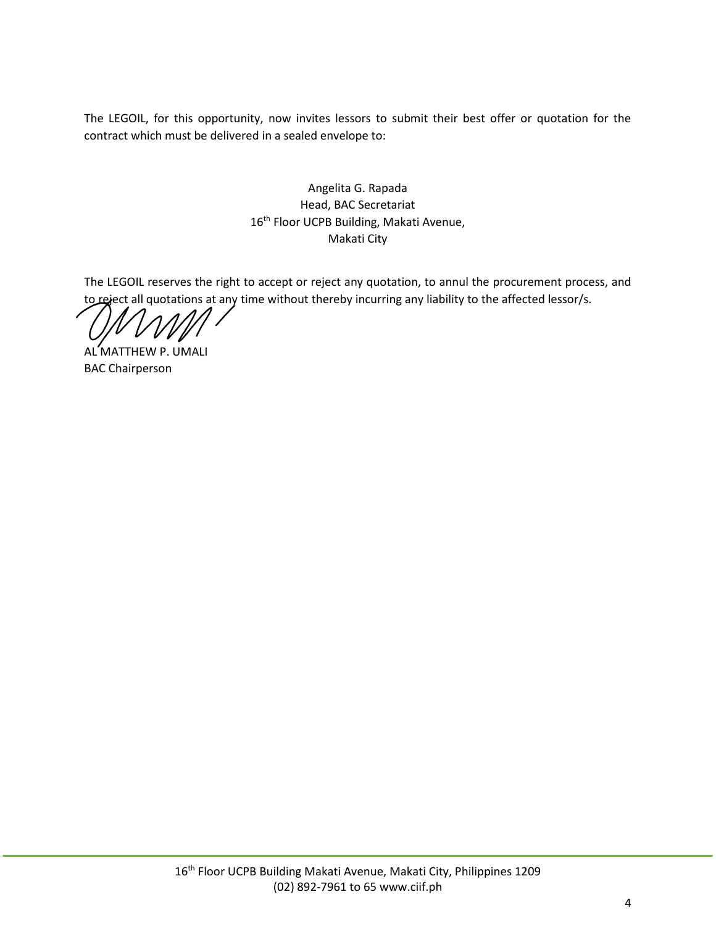The LEGOIL, for this opportunity, now invites lessors to submit their best offer or quotation for the contract which must be delivered in a sealed envelope to:

> Angelita G. Rapada Head, BAC Secretariat 16<sup>th</sup> Floor UCPB Building, Makati Avenue, Makati City

The LEGOIL reserves the right to accept or reject any quotation, to annul the procurement process, and to reject all quotations at any time without thereby incurring any liability to the affected lessor/s.

AL MATTHEW P. UMALI BAC Chairperson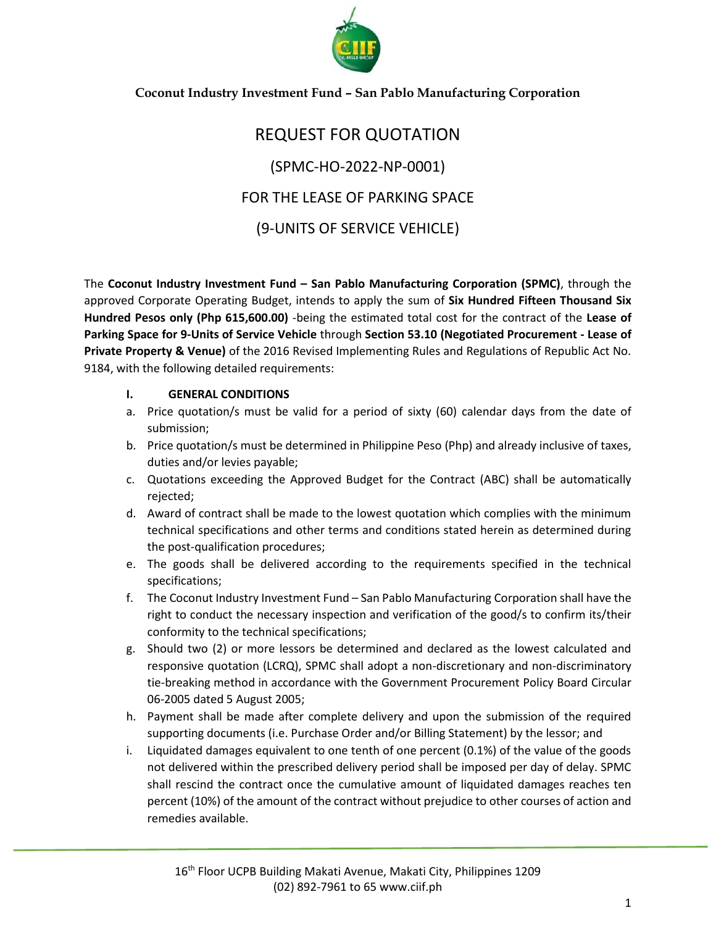

#### **Coconut Industry Investment Fund – San Pablo Manufacturing Corporation**

## REQUEST FOR QUOTATION (SPMC-HO-2022-NP-0001) FOR THE LEASE OF PARKING SPACE (9-UNITS OF SERVICE VEHICLE)

The **Coconut Industry Investment Fund – San Pablo Manufacturing Corporation (SPMC)**, through the approved Corporate Operating Budget, intends to apply the sum of **Six Hundred Fifteen Thousand Six Hundred Pesos only (Php 615,600.00)** -being the estimated total cost for the contract of the **Lease of Parking Space for 9-Units of Service Vehicle** through **Section 53.10 (Negotiated Procurement - Lease of Private Property & Venue)** of the 2016 Revised Implementing Rules and Regulations of Republic Act No. 9184, with the following detailed requirements:

#### **I. GENERAL CONDITIONS**

- a. Price quotation/s must be valid for a period of sixty (60) calendar days from the date of submission;
- b. Price quotation/s must be determined in Philippine Peso (Php) and already inclusive of taxes, duties and/or levies payable;
- c. Quotations exceeding the Approved Budget for the Contract (ABC) shall be automatically rejected;
- d. Award of contract shall be made to the lowest quotation which complies with the minimum technical specifications and other terms and conditions stated herein as determined during the post-qualification procedures;
- e. The goods shall be delivered according to the requirements specified in the technical specifications;
- f. The Coconut Industry Investment Fund San Pablo Manufacturing Corporation shall have the right to conduct the necessary inspection and verification of the good/s to confirm its/their conformity to the technical specifications;
- g. Should two (2) or more lessors be determined and declared as the lowest calculated and responsive quotation (LCRQ), SPMC shall adopt a non-discretionary and non-discriminatory tie-breaking method in accordance with the Government Procurement Policy Board Circular 06-2005 dated 5 August 2005;
- h. Payment shall be made after complete delivery and upon the submission of the required supporting documents (i.e. Purchase Order and/or Billing Statement) by the lessor; and
- i. Liquidated damages equivalent to one tenth of one percent (0.1%) of the value of the goods not delivered within the prescribed delivery period shall be imposed per day of delay. SPMC shall rescind the contract once the cumulative amount of liquidated damages reaches ten percent (10%) of the amount of the contract without prejudice to other courses of action and remedies available.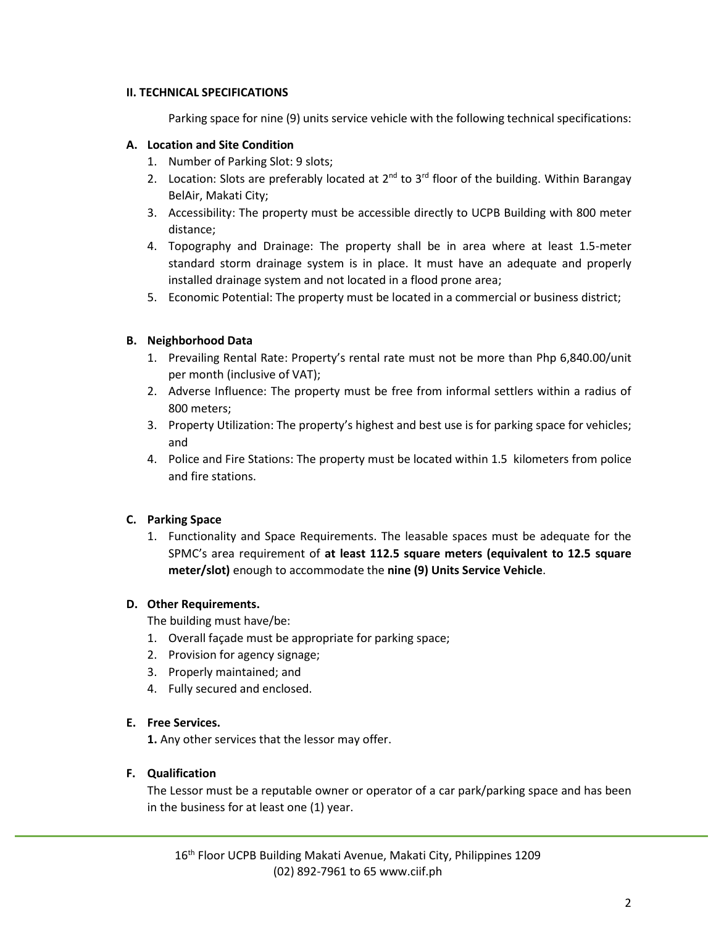#### **II. TECHNICAL SPECIFICATIONS**

Parking space for nine (9) units service vehicle with the following technical specifications:

#### **A. Location and Site Condition**

- 1. Number of Parking Slot: 9 slots;
- 2. Location: Slots are preferably located at  $2^{nd}$  to  $3^{rd}$  floor of the building. Within Barangay BelAir, Makati City;
- 3. Accessibility: The property must be accessible directly to UCPB Building with 800 meter distance;
- 4. Topography and Drainage: The property shall be in area where at least 1.5-meter standard storm drainage system is in place. It must have an adequate and properly installed drainage system and not located in a flood prone area;
- 5. Economic Potential: The property must be located in a commercial or business district;

#### **B. Neighborhood Data**

- 1. Prevailing Rental Rate: Property's rental rate must not be more than Php 6,840.00/unit per month (inclusive of VAT);
- 2. Adverse Influence: The property must be free from informal settlers within a radius of 800 meters;
- 3. Property Utilization: The property's highest and best use is for parking space for vehicles; and
- 4. Police and Fire Stations: The property must be located within 1.5 kilometers from police and fire stations.

#### **C. Parking Space**

1. Functionality and Space Requirements. The leasable spaces must be adequate for the SPMC's area requirement of **at least 112.5 square meters (equivalent to 12.5 square meter/slot)** enough to accommodate the **nine (9) Units Service Vehicle**.

#### **D. Other Requirements.**

The building must have/be:

- 1. Overall façade must be appropriate for parking space;
- 2. Provision for agency signage;
- 3. Properly maintained; and
- 4. Fully secured and enclosed.

#### **E. Free Services.**

**1.** Any other services that the lessor may offer.

#### **F. Qualification**

The Lessor must be a reputable owner or operator of a car park/parking space and has been in the business for at least one (1) year.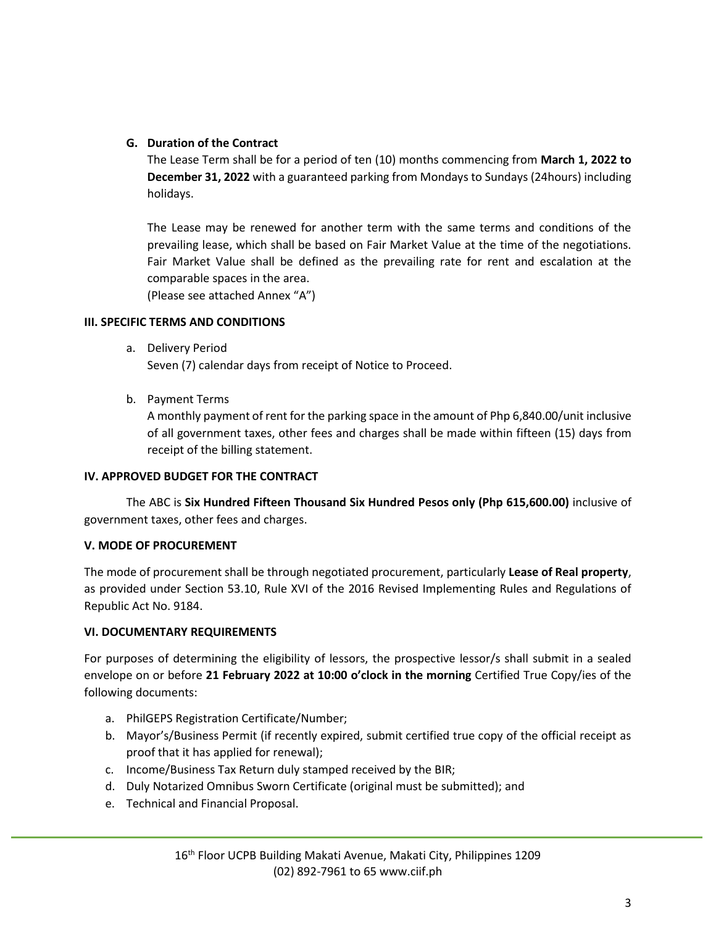#### **G. Duration of the Contract**

The Lease Term shall be for a period of ten (10) months commencing from **March 1, 2022 to December 31, 2022** with a guaranteed parking from Mondays to Sundays (24hours) including holidays.

The Lease may be renewed for another term with the same terms and conditions of the prevailing lease, which shall be based on Fair Market Value at the time of the negotiations. Fair Market Value shall be defined as the prevailing rate for rent and escalation at the comparable spaces in the area.

(Please see attached Annex "A")

#### **III. SPECIFIC TERMS AND CONDITIONS**

a. Delivery Period

Seven (7) calendar days from receipt of Notice to Proceed.

b. Payment Terms

A monthly payment of rent for the parking space in the amount of Php 6,840.00/unit inclusive of all government taxes, other fees and charges shall be made within fifteen (15) days from receipt of the billing statement.

#### **IV. APPROVED BUDGET FOR THE CONTRACT**

The ABC is **Six Hundred Fifteen Thousand Six Hundred Pesos only (Php 615,600.00)** inclusive of government taxes, other fees and charges.

#### **V. MODE OF PROCUREMENT**

The mode of procurement shall be through negotiated procurement, particularly **Lease of Real property**, as provided under Section 53.10, Rule XVI of the 2016 Revised Implementing Rules and Regulations of Republic Act No. 9184.

#### **VI. DOCUMENTARY REQUIREMENTS**

For purposes of determining the eligibility of lessors, the prospective lessor/s shall submit in a sealed envelope on or before **21 February 2022 at 10:00 o'clock in the morning** Certified True Copy/ies of the following documents:

- a. PhilGEPS Registration Certificate/Number;
- b. Mayor's/Business Permit (if recently expired, submit certified true copy of the official receipt as proof that it has applied for renewal);
- c. Income/Business Tax Return duly stamped received by the BIR;
- d. Duly Notarized Omnibus Sworn Certificate (original must be submitted); and
- e. Technical and Financial Proposal.